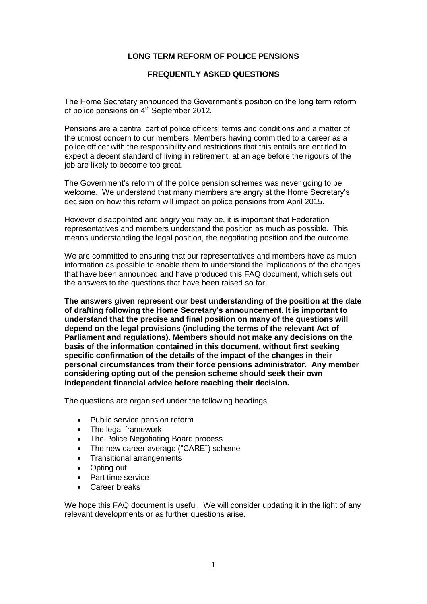# **LONG TERM REFORM OF POLICE PENSIONS**

# **FREQUENTLY ASKED QUESTIONS**

The Home Secretary announced the Government's position on the long term reform of police pensions on  $4<sup>th</sup>$  September 2012.

Pensions are a central part of police officers' terms and conditions and a matter of the utmost concern to our members. Members having committed to a career as a police officer with the responsibility and restrictions that this entails are entitled to expect a decent standard of living in retirement, at an age before the rigours of the job are likely to become too great.

The Government's reform of the police pension schemes was never going to be welcome. We understand that many members are angry at the Home Secretary's decision on how this reform will impact on police pensions from April 2015.

However disappointed and angry you may be, it is important that Federation representatives and members understand the position as much as possible. This means understanding the legal position, the negotiating position and the outcome.

We are committed to ensuring that our representatives and members have as much information as possible to enable them to understand the implications of the changes that have been announced and have produced this FAQ document, which sets out the answers to the questions that have been raised so far.

**The answers given represent our best understanding of the position at the date of drafting following the Home Secretary's announcement. It is important to understand that the precise and final position on many of the questions will depend on the legal provisions (including the terms of the relevant Act of Parliament and regulations). Members should not make any decisions on the basis of the information contained in this document, without first seeking specific confirmation of the details of the impact of the changes in their personal circumstances from their force pensions administrator. Any member considering opting out of the pension scheme should seek their own independent financial advice before reaching their decision.**

The questions are organised under the following headings:

- Public service pension reform
- The legal framework
- The Police Negotiating Board process
- The new career average ("CARE") scheme
- Transitional arrangements
- Opting out
- Part time service
- Career breaks

We hope this FAQ document is useful. We will consider updating it in the light of any relevant developments or as further questions arise.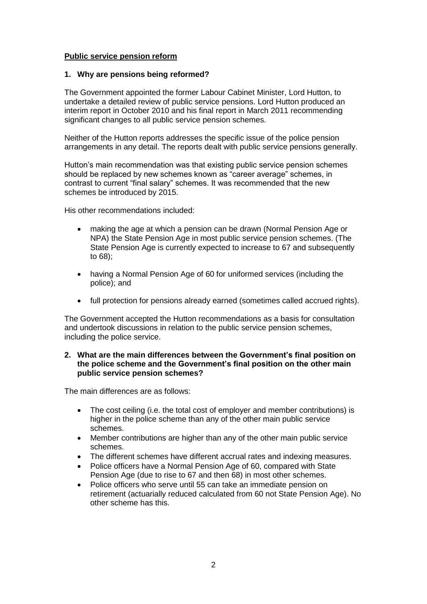# **Public service pension reform**

### **1. Why are pensions being reformed?**

The Government appointed the former Labour Cabinet Minister, Lord Hutton, to undertake a detailed review of public service pensions. Lord Hutton produced an interim report in October 2010 and his final report in March 2011 recommending significant changes to all public service pension schemes.

Neither of the Hutton reports addresses the specific issue of the police pension arrangements in any detail. The reports dealt with public service pensions generally.

Hutton's main recommendation was that existing public service pension schemes should be replaced by new schemes known as "career average" schemes, in contrast to current "final salary" schemes. It was recommended that the new schemes be introduced by 2015.

His other recommendations included:

- making the age at which a pension can be drawn (Normal Pension Age or NPA) the State Pension Age in most public service pension schemes. (The State Pension Age is currently expected to increase to 67 and subsequently to 68);
- having a Normal Pension Age of 60 for uniformed services (including the police); and
- full protection for pensions already earned (sometimes called accrued rights).

The Government accepted the Hutton recommendations as a basis for consultation and undertook discussions in relation to the public service pension schemes, including the police service.

### **2. What are the main differences between the Government's final position on the police scheme and the Government's final position on the other main public service pension schemes?**

The main differences are as follows:

- The cost ceiling (i.e. the total cost of employer and member contributions) is higher in the police scheme than any of the other main public service schemes.
- Member contributions are higher than any of the other main public service schemes.
- The different schemes have different accrual rates and indexing measures.
- Police officers have a Normal Pension Age of 60, compared with State Pension Age (due to rise to 67 and then 68) in most other schemes.
- Police officers who serve until 55 can take an immediate pension on retirement (actuarially reduced calculated from 60 not State Pension Age). No other scheme has this.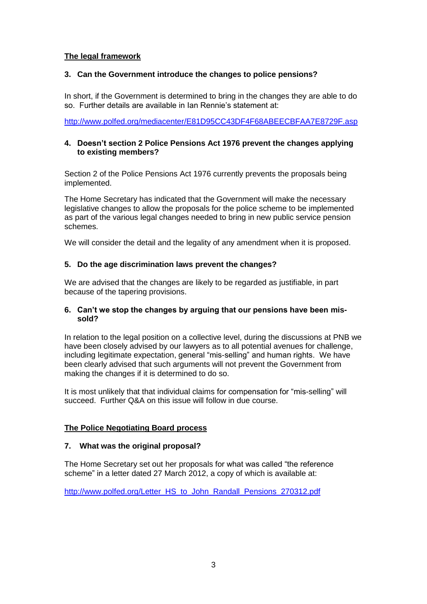# **The legal framework**

# **3. Can the Government introduce the changes to police pensions?**

In short, if the Government is determined to bring in the changes they are able to do so. Further details are available in Ian Rennie's statement at:

<http://www.polfed.org/mediacenter/E81D95CC43DF4F68ABEECBFAA7E8729F.asp>

# **4. Doesn't section 2 Police Pensions Act 1976 prevent the changes applying to existing members?**

Section 2 of the Police Pensions Act 1976 currently prevents the proposals being implemented.

The Home Secretary has indicated that the Government will make the necessary legislative changes to allow the proposals for the police scheme to be implemented as part of the various legal changes needed to bring in new public service pension schemes.

We will consider the detail and the legality of any amendment when it is proposed.

# **5. Do the age discrimination laws prevent the changes?**

We are advised that the changes are likely to be regarded as justifiable, in part because of the tapering provisions.

## **6. Can't we stop the changes by arguing that our pensions have been missold?**

In relation to the legal position on a collective level, during the discussions at PNB we have been closely advised by our lawyers as to all potential avenues for challenge, including legitimate expectation, general "mis-selling" and human rights. We have been clearly advised that such arguments will not prevent the Government from making the changes if it is determined to do so.

It is most unlikely that that individual claims for compensation for "mis-selling" will succeed. Further Q&A on this issue will follow in due course.

# **The Police Negotiating Board process**

# **7. What was the original proposal?**

The Home Secretary set out her proposals for what was called "the reference scheme" in a letter dated 27 March 2012, a copy of which is available at:

[http://www.polfed.org/Letter\\_HS\\_to\\_John\\_Randall\\_Pensions\\_270312.pdf](http://www.polfed.org/Letter_HS_to_John_Randall_Pensions_270312.pdf)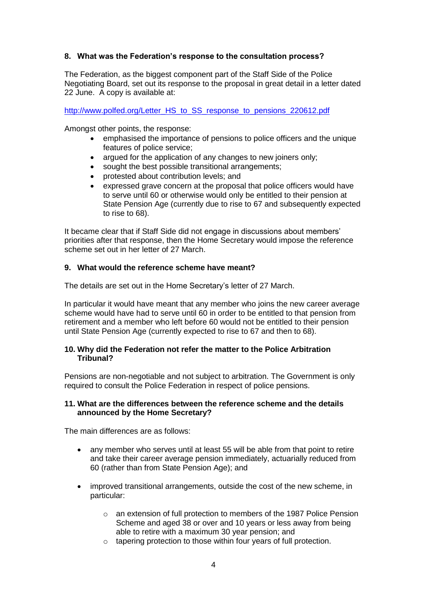# **8. What was the Federation's response to the consultation process?**

The Federation, as the biggest component part of the Staff Side of the Police Negotiating Board, set out its response to the proposal in great detail in a letter dated 22 June. A copy is available at:

[http://www.polfed.org/Letter\\_HS\\_to\\_SS\\_response\\_to\\_pensions\\_220612.pdf](http://www.polfed.org/Letter_HS_to_SS_response_to_pensions_220612.pdf)

Amongst other points, the response:

- emphasised the importance of pensions to police officers and the unique features of police service;
- argued for the application of any changes to new joiners only;
- sought the best possible transitional arrangements;
- protested about contribution levels; and
- expressed grave concern at the proposal that police officers would have to serve until 60 or otherwise would only be entitled to their pension at State Pension Age (currently due to rise to 67 and subsequently expected to rise to 68).

It became clear that if Staff Side did not engage in discussions about members' priorities after that response, then the Home Secretary would impose the reference scheme set out in her letter of 27 March.

## **9. What would the reference scheme have meant?**

The details are set out in the Home Secretary's letter of 27 March.

In particular it would have meant that any member who joins the new career average scheme would have had to serve until 60 in order to be entitled to that pension from retirement and a member who left before 60 would not be entitled to their pension until State Pension Age (currently expected to rise to 67 and then to 68).

## **10. Why did the Federation not refer the matter to the Police Arbitration Tribunal?**

Pensions are non-negotiable and not subject to arbitration. The Government is only required to consult the Police Federation in respect of police pensions.

## **11. What are the differences between the reference scheme and the details announced by the Home Secretary?**

The main differences are as follows:

- any member who serves until at least 55 will be able from that point to retire and take their career average pension immediately, actuarially reduced from 60 (rather than from State Pension Age); and
- improved transitional arrangements, outside the cost of the new scheme, in particular:
	- o an extension of full protection to members of the 1987 Police Pension Scheme and aged 38 or over and 10 years or less away from being able to retire with a maximum 30 year pension; and
	- o tapering protection to those within four years of full protection.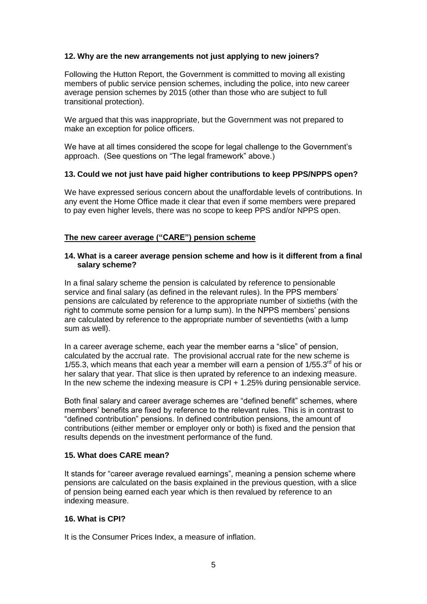# **12. Why are the new arrangements not just applying to new joiners?**

Following the Hutton Report, the Government is committed to moving all existing members of public service pension schemes, including the police, into new career average pension schemes by 2015 (other than those who are subject to full transitional protection).

We argued that this was inappropriate, but the Government was not prepared to make an exception for police officers.

We have at all times considered the scope for legal challenge to the Government's approach. (See questions on "The legal framework" above.)

# **13. Could we not just have paid higher contributions to keep PPS/NPPS open?**

We have expressed serious concern about the unaffordable levels of contributions. In any event the Home Office made it clear that even if some members were prepared to pay even higher levels, there was no scope to keep PPS and/or NPPS open.

## **The new career average ("CARE") pension scheme**

#### **14. What is a career average pension scheme and how is it different from a final salary scheme?**

In a final salary scheme the pension is calculated by reference to pensionable service and final salary (as defined in the relevant rules). In the PPS members' pensions are calculated by reference to the appropriate number of sixtieths (with the right to commute some pension for a lump sum). In the NPPS members' pensions are calculated by reference to the appropriate number of seventieths (with a lump sum as well).

In a career average scheme, each year the member earns a "slice" of pension, calculated by the accrual rate. The provisional accrual rate for the new scheme is 1/55.3, which means that each year a member will earn a pension of  $1/55.3<sup>rd</sup>$  of his or her salary that year. That slice is then uprated by reference to an indexing measure. In the new scheme the indexing measure is CPI + 1.25% during pensionable service.

Both final salary and career average schemes are "defined benefit" schemes, where members' benefits are fixed by reference to the relevant rules. This is in contrast to "defined contribution" pensions. In defined contribution pensions, the amount of contributions (either member or employer only or both) is fixed and the pension that results depends on the investment performance of the fund.

#### **15. What does CARE mean?**

It stands for "career average revalued earnings", meaning a pension scheme where pensions are calculated on the basis explained in the previous question, with a slice of pension being earned each year which is then revalued by reference to an indexing measure.

### **16. What is CPI?**

It is the Consumer Prices Index, a measure of inflation.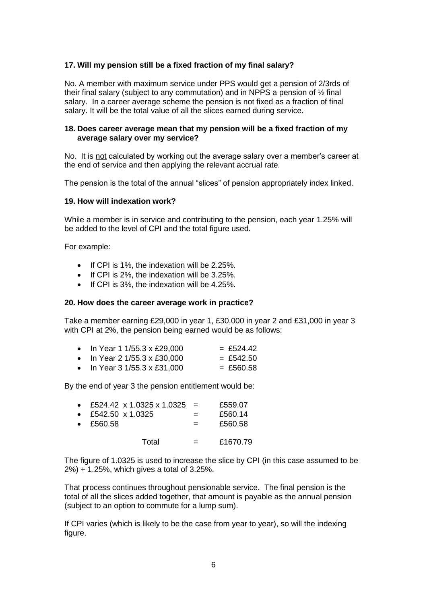# **17. Will my pension still be a fixed fraction of my final salary?**

No. A member with maximum service under PPS would get a pension of 2/3rds of their final salary (subject to any commutation) and in NPPS a pension of ½ final salary. In a career average scheme the pension is not fixed as a fraction of final salary. It will be the total value of all the slices earned during service.

## **18. Does career average mean that my pension will be a fixed fraction of my average salary over my service?**

No. It is not calculated by working out the average salary over a member's career at the end of service and then applying the relevant accrual rate.

The pension is the total of the annual "slices" of pension appropriately index linked.

#### **19. How will indexation work?**

While a member is in service and contributing to the pension, each year 1.25% will be added to the level of CPI and the total figure used.

For example:

- $\bullet$  If CPI is 1%, the indexation will be 2.25%.
- $\bullet$  If CPI is 2%, the indexation will be 3.25%.
- If CPI is 3%, the indexation will be 4.25%.

#### **20. How does the career average work in practice?**

Take a member earning £29,000 in year 1, £30,000 in year 2 and £31,000 in year 3 with CPI at 2%, the pension being earned would be as follows:

|  | • In Year 1 1/55.3 x £29,000 | $=$ £524.42 |
|--|------------------------------|-------------|
|  | .<br>- ^^^ ^^^               | . <u>.</u>  |

- In Year 2 1/55.3 x £30,000 = £542.50
- $\bullet$  In Year 3 1/55.3 x £31,000 = £560.58

By the end of year 3 the pension entitlement would be:

|                           | • £524.42 x 1.0325 x 1.0325 = |     | £559.07  |
|---------------------------|-------------------------------|-----|----------|
| • £542.50 $\times$ 1.0325 |                               | $=$ | £560.14  |
| $\bullet$ £560.58         |                               |     | £560.58  |
|                           | Total                         | $=$ | £1670.79 |

The figure of 1.0325 is used to increase the slice by CPI (in this case assumed to be 2%) + 1.25%, which gives a total of 3.25%.

That process continues throughout pensionable service. The final pension is the total of all the slices added together, that amount is payable as the annual pension (subject to an option to commute for a lump sum).

If CPI varies (which is likely to be the case from year to year), so will the indexing figure.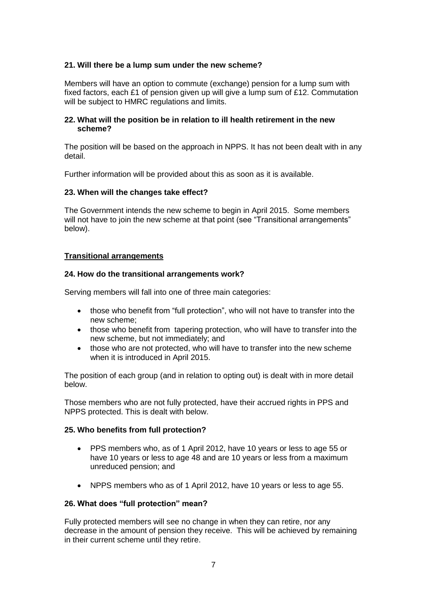# **21. Will there be a lump sum under the new scheme?**

Members will have an option to commute (exchange) pension for a lump sum with fixed factors, each £1 of pension given up will give a lump sum of £12. Commutation will be subject to HMRC regulations and limits.

### **22. What will the position be in relation to ill health retirement in the new scheme?**

The position will be based on the approach in NPPS. It has not been dealt with in any detail.

Further information will be provided about this as soon as it is available.

## **23. When will the changes take effect?**

The Government intends the new scheme to begin in April 2015. Some members will not have to join the new scheme at that point (see "Transitional arrangements" below).

## **Transitional arrangements**

## **24. How do the transitional arrangements work?**

Serving members will fall into one of three main categories:

- those who benefit from "full protection", who will not have to transfer into the new scheme;
- those who benefit from tapering protection, who will have to transfer into the new scheme, but not immediately; and
- those who are not protected, who will have to transfer into the new scheme when it is introduced in April 2015.

The position of each group (and in relation to opting out) is dealt with in more detail below.

Those members who are not fully protected, have their accrued rights in PPS and NPPS protected. This is dealt with below.

#### **25. Who benefits from full protection?**

- PPS members who, as of 1 April 2012, have 10 years or less to age 55 or have 10 years or less to age 48 and are 10 years or less from a maximum unreduced pension; and
- NPPS members who as of 1 April 2012, have 10 years or less to age 55.

#### **26. What does "full protection" mean?**

Fully protected members will see no change in when they can retire, nor any decrease in the amount of pension they receive. This will be achieved by remaining in their current scheme until they retire.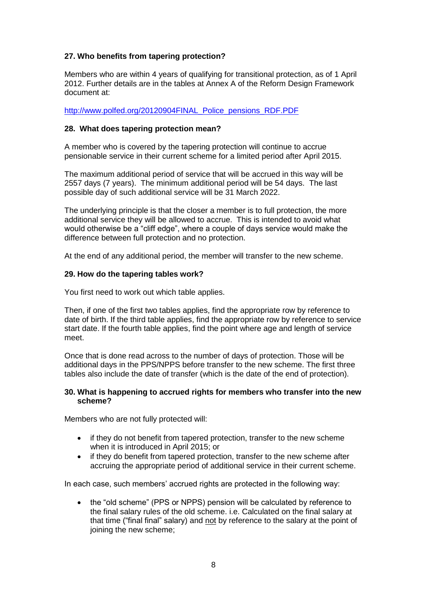# **27. Who benefits from tapering protection?**

Members who are within 4 years of qualifying for transitional protection, as of 1 April 2012. Further details are in the tables at Annex A of the Reform Design Framework document at:

[http://www.polfed.org/20120904FINAL\\_Police\\_pensions\\_RDF.PDF](http://www.polfed.org/20120904FINAL_Police_pensions_RDF.PDF)

## **28. What does tapering protection mean?**

A member who is covered by the tapering protection will continue to accrue pensionable service in their current scheme for a limited period after April 2015.

The maximum additional period of service that will be accrued in this way will be 2557 days (7 years). The minimum additional period will be 54 days. The last possible day of such additional service will be 31 March 2022.

The underlying principle is that the closer a member is to full protection, the more additional service they will be allowed to accrue. This is intended to avoid what would otherwise be a "cliff edge", where a couple of days service would make the difference between full protection and no protection.

At the end of any additional period, the member will transfer to the new scheme.

## **29. How do the tapering tables work?**

You first need to work out which table applies.

Then, if one of the first two tables applies, find the appropriate row by reference to date of birth. If the third table applies, find the appropriate row by reference to service start date. If the fourth table applies, find the point where age and length of service meet.

Once that is done read across to the number of days of protection. Those will be additional days in the PPS/NPPS before transfer to the new scheme. The first three tables also include the date of transfer (which is the date of the end of protection).

## **30. What is happening to accrued rights for members who transfer into the new scheme?**

Members who are not fully protected will:

- if they do not benefit from tapered protection, transfer to the new scheme when it is introduced in April 2015; or
- if they do benefit from tapered protection, transfer to the new scheme after accruing the appropriate period of additional service in their current scheme.

In each case, such members' accrued rights are protected in the following way:

• the "old scheme" (PPS or NPPS) pension will be calculated by reference to the final salary rules of the old scheme. i.e. Calculated on the final salary at that time ("final final" salary) and not by reference to the salary at the point of joining the new scheme;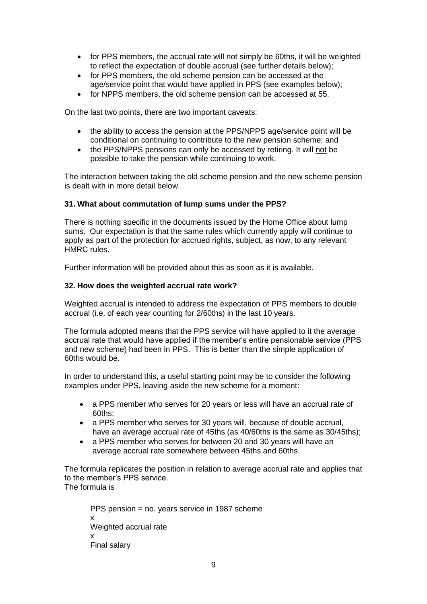- for PPS members, the accrual rate will not simply be 60ths, it will be weighted to reflect the expectation of double accrual (see further details below);
- for PPS members, the old scheme pension can be accessed at the age/service point that would have applied in PPS (see examples below);
- for NPPS members, the old scheme pension can be accessed at 55.

On the last two points, there are two important caveats:

- the ability to access the pension at the PPS/NPPS age/service point will be conditional on continuing to contribute to the new pension scheme; and
- the PPS/NPPS pensions can only be accessed by retiring. It will not be possible to take the pension while continuing to work.

The interaction between taking the old scheme pension and the new scheme pension is dealt with in more detail below.

## **31. What about commutation of lump sums under the PPS?**

There is nothing specific in the documents issued by the Home Office about lump sums. Our expectation is that the same rules which currently apply will continue to apply as part of the protection for accrued rights, subject, as now, to any relevant HMRC rules.

Further information will be provided about this as soon as it is available.

## **32. How does the weighted accrual rate work?**

Weighted accrual is intended to address the expectation of PPS members to double accrual (i.e. of each year counting for 2/60ths) in the last 10 years.

The formula adopted means that the PPS service will have applied to it the average accrual rate that would have applied if the member's entire pensionable service (PPS and new scheme) had been in PPS. This is better than the simple application of 60ths would be.

In order to understand this, a useful starting point may be to consider the following examples under PPS, leaving aside the new scheme for a moment:

- a PPS member who serves for 20 years or less will have an accrual rate of 60ths;
- a PPS member who serves for 30 years will, because of double accrual, have an average accrual rate of 45ths (as 40/60ths is the same as 30/45ths);
- a PPS member who serves for between 20 and 30 years will have an average accrual rate somewhere between 45ths and 60ths.

The formula replicates the position in relation to average accrual rate and applies that to the member's PPS service. The formula is

PPS pension = no. years service in 1987 scheme x Weighted accrual rate x Final salary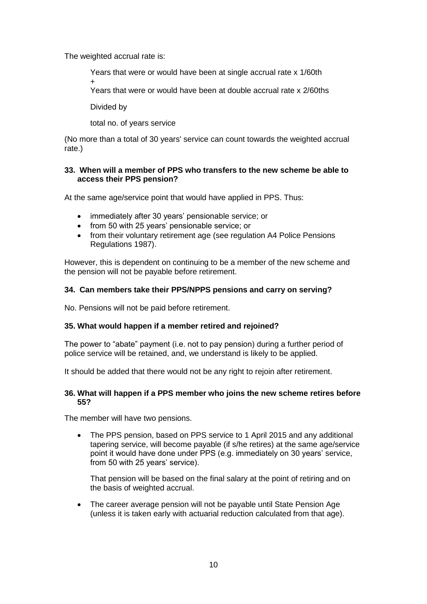The weighted accrual rate is:

Years that were or would have been at single accrual rate x 1/60th

+

Years that were or would have been at double accrual rate x 2/60ths

Divided by

total no. of years service

(No more than a total of 30 years' service can count towards the weighted accrual rate.)

# **33. When will a member of PPS who transfers to the new scheme be able to access their PPS pension?**

At the same age/service point that would have applied in PPS. Thus:

- immediately after 30 years' pensionable service; or
- from 50 with 25 years' pensionable service; or
- from their voluntary retirement age (see regulation A4 Police Pensions Regulations 1987).

However, this is dependent on continuing to be a member of the new scheme and the pension will not be payable before retirement.

# **34. Can members take their PPS/NPPS pensions and carry on serving?**

No. Pensions will not be paid before retirement.

# **35. What would happen if a member retired and rejoined?**

The power to "abate" payment (i.e. not to pay pension) during a further period of police service will be retained, and, we understand is likely to be applied.

It should be added that there would not be any right to rejoin after retirement.

# **36. What will happen if a PPS member who joins the new scheme retires before 55?**

The member will have two pensions.

• The PPS pension, based on PPS service to 1 April 2015 and any additional tapering service, will become payable (if s/he retires) at the same age/service point it would have done under PPS (e.g. immediately on 30 years' service, from 50 with 25 years' service).

That pension will be based on the final salary at the point of retiring and on the basis of weighted accrual.

• The career average pension will not be payable until State Pension Age (unless it is taken early with actuarial reduction calculated from that age).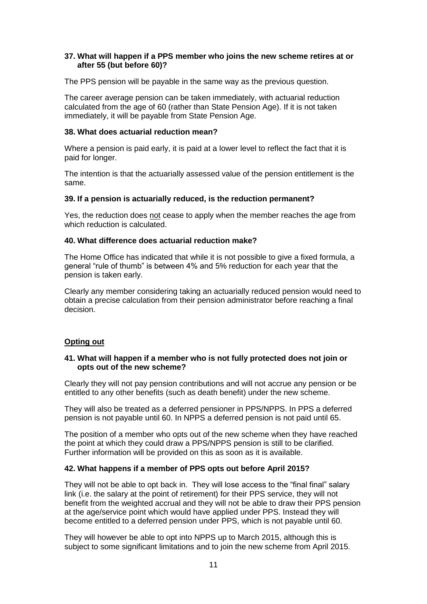## **37. What will happen if a PPS member who joins the new scheme retires at or after 55 (but before 60)?**

The PPS pension will be payable in the same way as the previous question.

The career average pension can be taken immediately, with actuarial reduction calculated from the age of 60 (rather than State Pension Age). If it is not taken immediately, it will be payable from State Pension Age.

## **38. What does actuarial reduction mean?**

Where a pension is paid early, it is paid at a lower level to reflect the fact that it is paid for longer.

The intention is that the actuarially assessed value of the pension entitlement is the same.

## **39. If a pension is actuarially reduced, is the reduction permanent?**

Yes, the reduction does not cease to apply when the member reaches the age from which reduction is calculated.

## **40. What difference does actuarial reduction make?**

The Home Office has indicated that while it is not possible to give a fixed formula, a general "rule of thumb" is between 4% and 5% reduction for each year that the pension is taken early.

Clearly any member considering taking an actuarially reduced pension would need to obtain a precise calculation from their pension administrator before reaching a final decision.

# **Opting out**

# **41. What will happen if a member who is not fully protected does not join or opts out of the new scheme?**

Clearly they will not pay pension contributions and will not accrue any pension or be entitled to any other benefits (such as death benefit) under the new scheme.

They will also be treated as a deferred pensioner in PPS/NPPS. In PPS a deferred pension is not payable until 60. In NPPS a deferred pension is not paid until 65.

The position of a member who opts out of the new scheme when they have reached the point at which they could draw a PPS/NPPS pension is still to be clarified. Further information will be provided on this as soon as it is available.

# **42. What happens if a member of PPS opts out before April 2015?**

They will not be able to opt back in. They will lose access to the "final final" salary link (i.e. the salary at the point of retirement) for their PPS service, they will not benefit from the weighted accrual and they will not be able to draw their PPS pension at the age/service point which would have applied under PPS. Instead they will become entitled to a deferred pension under PPS, which is not payable until 60.

They will however be able to opt into NPPS up to March 2015, although this is subject to some significant limitations and to join the new scheme from April 2015.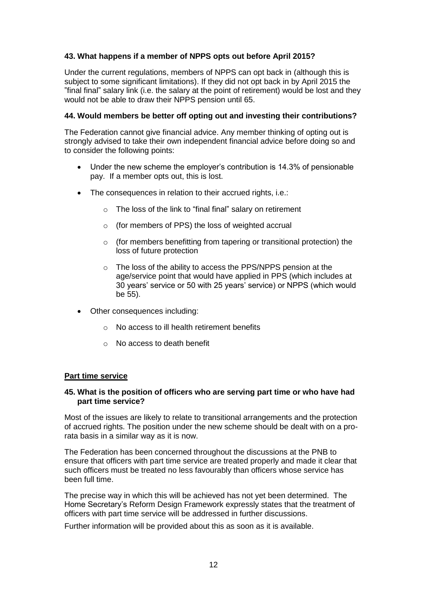# **43. What happens if a member of NPPS opts out before April 2015?**

Under the current regulations, members of NPPS can opt back in (although this is subject to some significant limitations). If they did not opt back in by April 2015 the "final final" salary link (i.e. the salary at the point of retirement) would be lost and they would not be able to draw their NPPS pension until 65.

# **44. Would members be better off opting out and investing their contributions?**

The Federation cannot give financial advice. Any member thinking of opting out is strongly advised to take their own independent financial advice before doing so and to consider the following points:

- Under the new scheme the employer's contribution is 14.3% of pensionable pay. If a member opts out, this is lost.
- The consequences in relation to their accrued rights, i.e.:
	- o The loss of the link to "final final" salary on retirement
	- o (for members of PPS) the loss of weighted accrual
	- o (for members benefitting from tapering or transitional protection) the loss of future protection
	- o The loss of the ability to access the PPS/NPPS pension at the age/service point that would have applied in PPS (which includes at 30 years' service or 50 with 25 years' service) or NPPS (which would be 55).
- Other consequences including:
	- o No access to ill health retirement benefits
	- o No access to death benefit

#### **Part time service**

## **45. What is the position of officers who are serving part time or who have had part time service?**

Most of the issues are likely to relate to transitional arrangements and the protection of accrued rights. The position under the new scheme should be dealt with on a prorata basis in a similar way as it is now.

The Federation has been concerned throughout the discussions at the PNB to ensure that officers with part time service are treated properly and made it clear that such officers must be treated no less favourably than officers whose service has been full time.

The precise way in which this will be achieved has not yet been determined. The Home Secretary's Reform Design Framework expressly states that the treatment of officers with part time service will be addressed in further discussions.

Further information will be provided about this as soon as it is available.